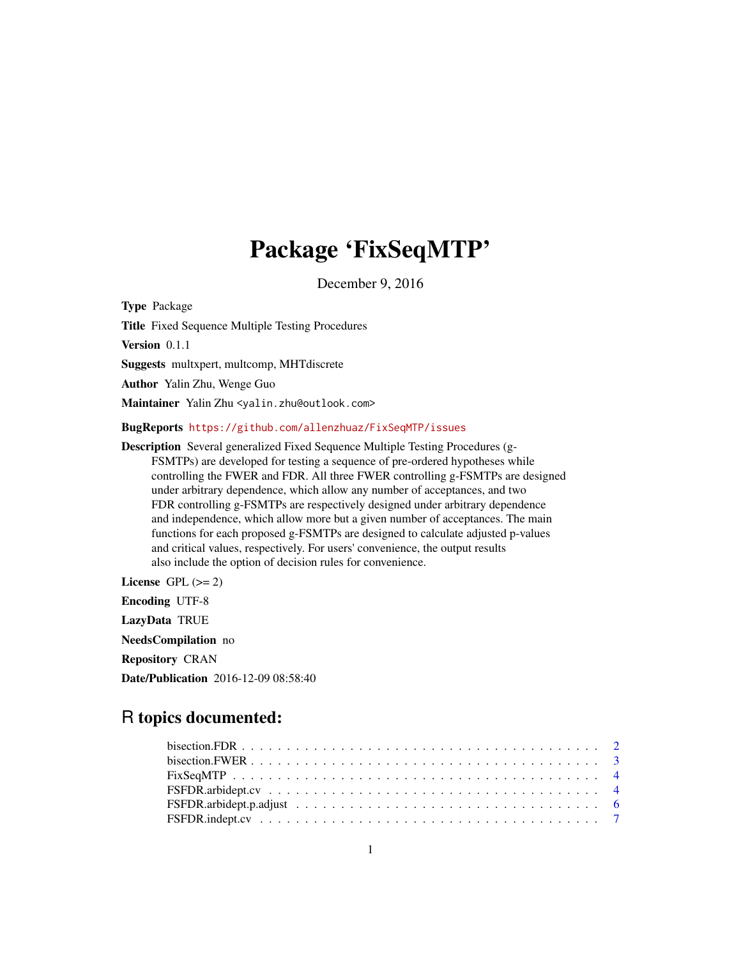# Package 'FixSeqMTP'

December 9, 2016

<span id="page-0-0"></span>Type Package

Title Fixed Sequence Multiple Testing Procedures

Version 0.1.1

Suggests multxpert, multcomp, MHTdiscrete

Author Yalin Zhu, Wenge Guo

Maintainer Yalin Zhu <yalin.zhu@outlook.com>

#### BugReports <https://github.com/allenzhuaz/FixSeqMTP/issues>

Description Several generalized Fixed Sequence Multiple Testing Procedures (g-FSMTPs) are developed for testing a sequence of pre-ordered hypotheses while controlling the FWER and FDR. All three FWER controlling g-FSMTPs are designed under arbitrary dependence, which allow any number of acceptances, and two FDR controlling g-FSMTPs are respectively designed under arbitrary dependence and independence, which allow more but a given number of acceptances. The main functions for each proposed g-FSMTPs are designed to calculate adjusted p-values and critical values, respectively. For users' convenience, the output results also include the option of decision rules for convenience.

License GPL  $(>= 2)$ Encoding UTF-8 LazyData TRUE NeedsCompilation no Repository CRAN Date/Publication 2016-12-09 08:58:40

# R topics documented: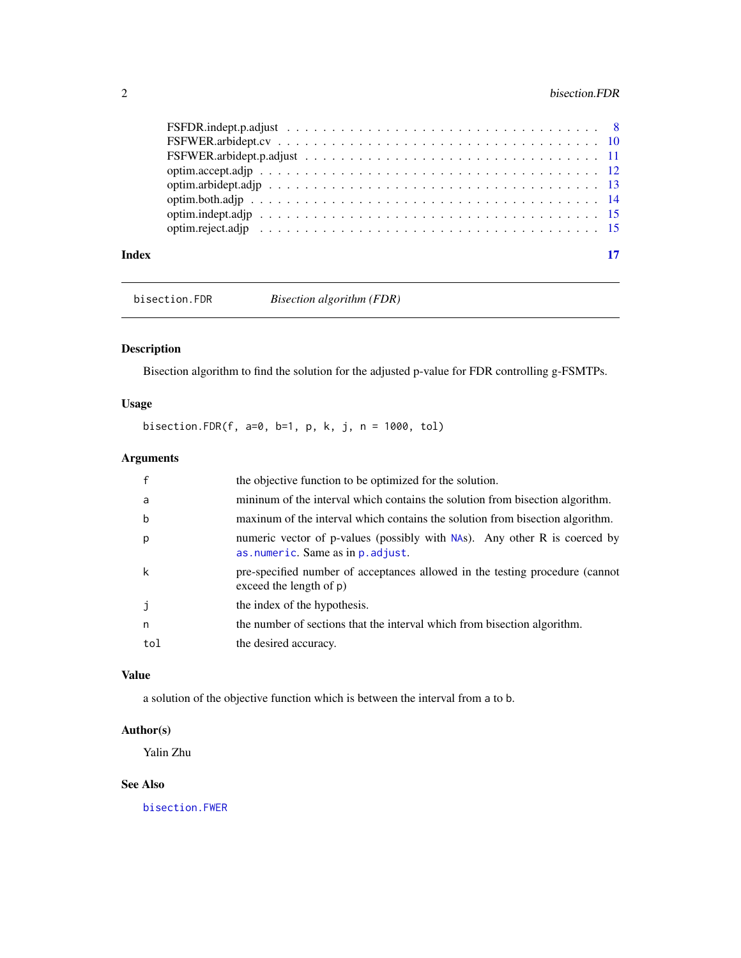<span id="page-1-0"></span>

| Index |  |  |  |  |  |  |  |  |  |  |  |  |  |  |  | 17 |
|-------|--|--|--|--|--|--|--|--|--|--|--|--|--|--|--|----|

<span id="page-1-1"></span>bisection.FDR *Bisection algorithm (FDR)*

# Description

Bisection algorithm to find the solution for the adjusted p-value for FDR controlling g-FSMTPs.

# Usage

bisection.FDR(f, a=0, b=1, p, k, j, n = 1000, tol)

# Arguments

|     | the objective function to be optimized for the solution.                                                       |
|-----|----------------------------------------------------------------------------------------------------------------|
| a   | minimum of the interval which contains the solution from bisection algorithm.                                  |
| b   | maxinum of the interval which contains the solution from bisection algorithm.                                  |
| p   | numeric vector of p-values (possibly with NAs). Any other R is coerced by<br>as numeric. Same as in p. adjust. |
| k   | pre-specified number of acceptances allowed in the testing procedure (cannot<br>exceed the length of $p$ )     |
|     | the index of the hypothesis.                                                                                   |
| n   | the number of sections that the interval which from bisection algorithm.                                       |
| tol | the desired accuracy.                                                                                          |

# Value

a solution of the objective function which is between the interval from a to b.

# Author(s)

Yalin Zhu

#### See Also

[bisection.FWER](#page-2-1)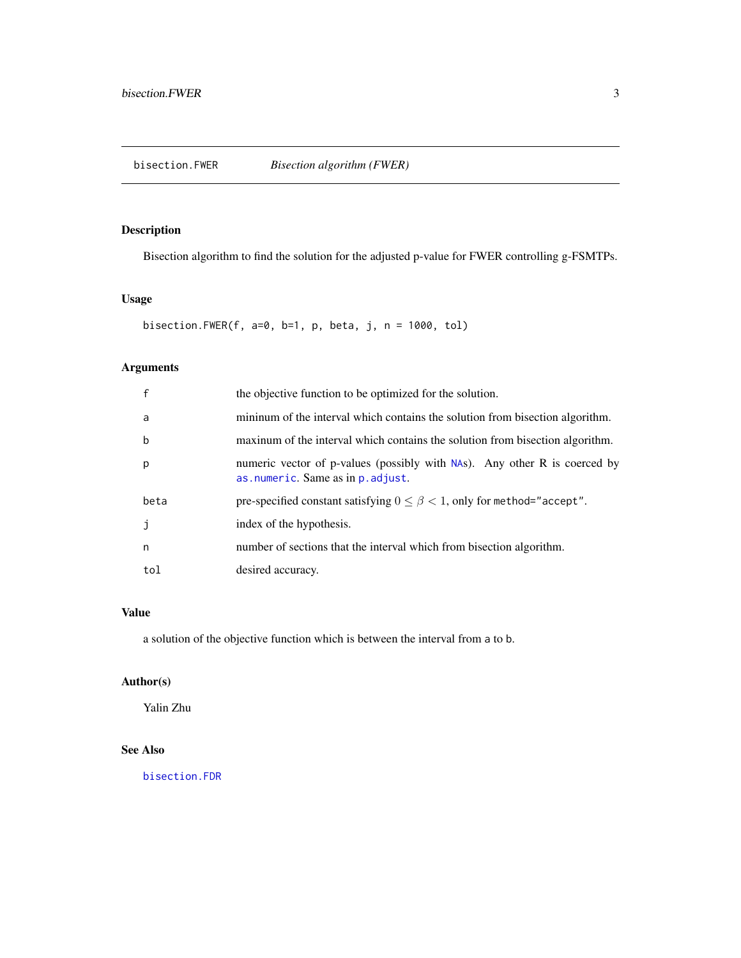# <span id="page-2-1"></span><span id="page-2-0"></span>Description

Bisection algorithm to find the solution for the adjusted p-value for FWER controlling g-FSMTPs.

# Usage

bisection.FWER(f, a=0, b=1, p, beta, j, n = 1000, tol)

# Arguments

| f    | the objective function to be optimized for the solution.                                                       |
|------|----------------------------------------------------------------------------------------------------------------|
| a    | minimum of the interval which contains the solution from bisection algorithm.                                  |
| b    | maxinum of the interval which contains the solution from bisection algorithm.                                  |
| p    | numeric vector of p-values (possibly with NAs). Any other R is coerced by<br>as numeric. Same as in p. adjust. |
| beta | pre-specified constant satisfying $0 \le \beta < 1$ , only for method="accept".                                |
| J    | index of the hypothesis.                                                                                       |
| n    | number of sections that the interval which from bisection algorithm.                                           |
| tol  | desired accuracy.                                                                                              |

#### Value

a solution of the objective function which is between the interval from a to b.

# Author(s)

Yalin Zhu

# See Also

[bisection.FDR](#page-1-1)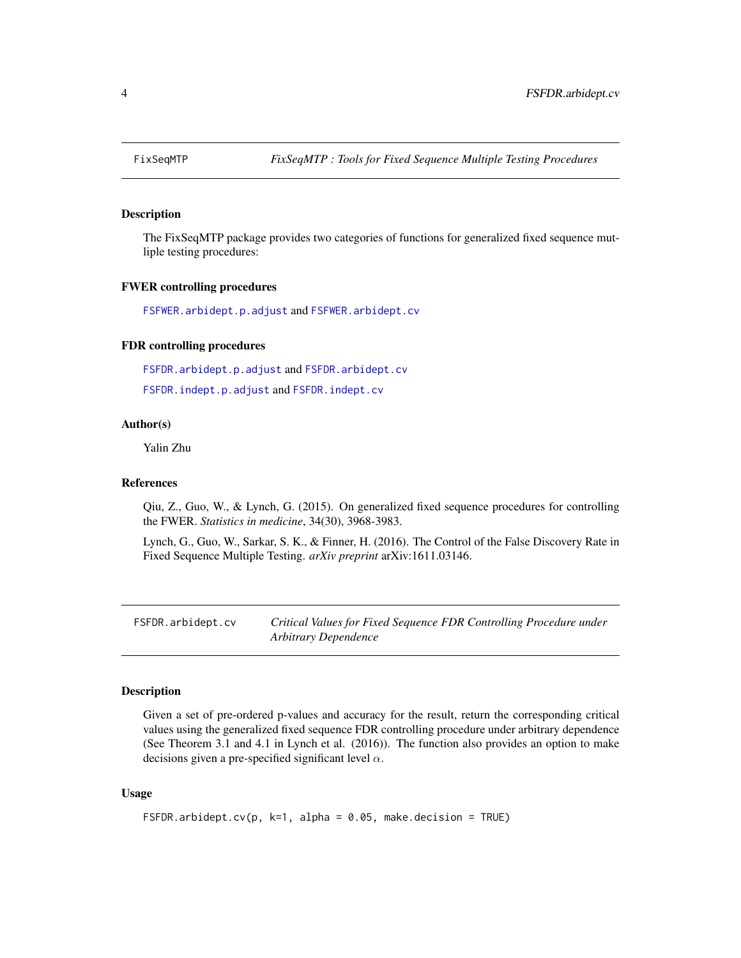<span id="page-3-0"></span>

#### **Description**

The FixSeqMTP package provides two categories of functions for generalized fixed sequence mutliple testing procedures:

#### FWER controlling procedures

[FSFWER.arbidept.p.adjust](#page-10-1) and [FSFWER.arbidept.cv](#page-9-1)

# FDR controlling procedures

[FSFDR.arbidept.p.adjust](#page-5-1) and [FSFDR.arbidept.cv](#page-3-1)

[FSFDR.indept.p.adjust](#page-7-1) and [FSFDR.indept.cv](#page-6-1)

#### Author(s)

Yalin Zhu

#### References

Qiu, Z., Guo, W., & Lynch, G. (2015). On generalized fixed sequence procedures for controlling the FWER. *Statistics in medicine*, 34(30), 3968-3983.

Lynch, G., Guo, W., Sarkar, S. K., & Finner, H. (2016). The Control of the False Discovery Rate in Fixed Sequence Multiple Testing. *arXiv preprint* arXiv:1611.03146.

<span id="page-3-1"></span>FSFDR.arbidept.cv *Critical Values for Fixed Sequence FDR Controlling Procedure under Arbitrary Dependence*

# Description

Given a set of pre-ordered p-values and accuracy for the result, return the corresponding critical values using the generalized fixed sequence FDR controlling procedure under arbitrary dependence (See Theorem 3.1 and 4.1 in Lynch et al. (2016)). The function also provides an option to make decisions given a pre-specified significant level  $\alpha$ .

#### Usage

```
FSFDR.arbidept.cv(p, k=1, alpha = 0.05, make.decision = TRUE)
```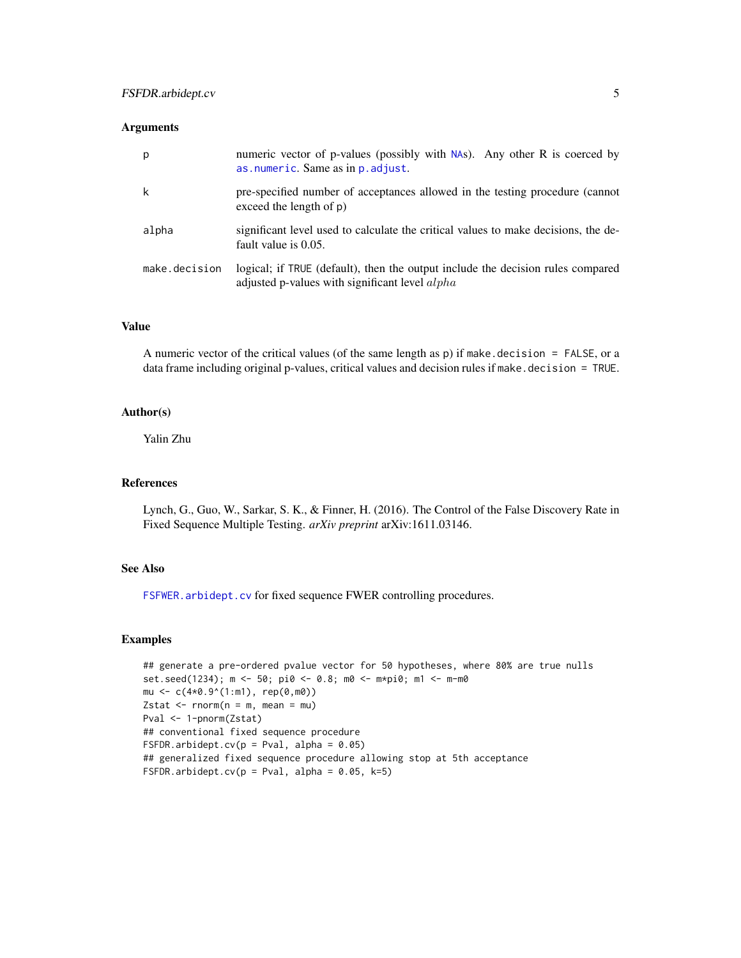<span id="page-4-0"></span>

| p             | numeric vector of p-values (possibly with NAs). Any other R is coerced by<br>as numeric. Same as in p. adjust.                           |
|---------------|------------------------------------------------------------------------------------------------------------------------------------------|
| k             | pre-specified number of acceptances allowed in the testing procedure (cannot<br>exceed the length of $p$ )                               |
| alpha         | significant level used to calculate the critical values to make decisions, the de-<br>fault value is 0.05.                               |
| make.decision | logical; if TRUE (default), then the output include the decision rules compared<br>adjusted p-values with significant level <i>alpha</i> |

# Value

A numeric vector of the critical values (of the same length as  $p$ ) if make.decision = FALSE, or a data frame including original p-values, critical values and decision rules if make.decision = TRUE.

# Author(s)

Yalin Zhu

#### References

Lynch, G., Guo, W., Sarkar, S. K., & Finner, H. (2016). The Control of the False Discovery Rate in Fixed Sequence Multiple Testing. *arXiv preprint* arXiv:1611.03146.

#### See Also

[FSFWER.arbidept.cv](#page-9-1) for fixed sequence FWER controlling procedures.

# Examples

```
## generate a pre-ordered pvalue vector for 50 hypotheses, where 80% are true nulls
set.seed(1234); m <- 50; pi0 <- 0.8; m0 <- m*pi0; m1 <- m-m0
mu <- c(4*0.9^(1:m1), rep(0,m0))
Zstat \leq rnorm(n = m, mean = mu)
Pval <- 1-pnorm(Zstat)
## conventional fixed sequence procedure
FSFDR.arbidept.cv(p = Pval, alpha = 0.05)
## generalized fixed sequence procedure allowing stop at 5th acceptance
FSFDR.arbidept.cv(p = Pval, alpha = 0.05, k=5)
```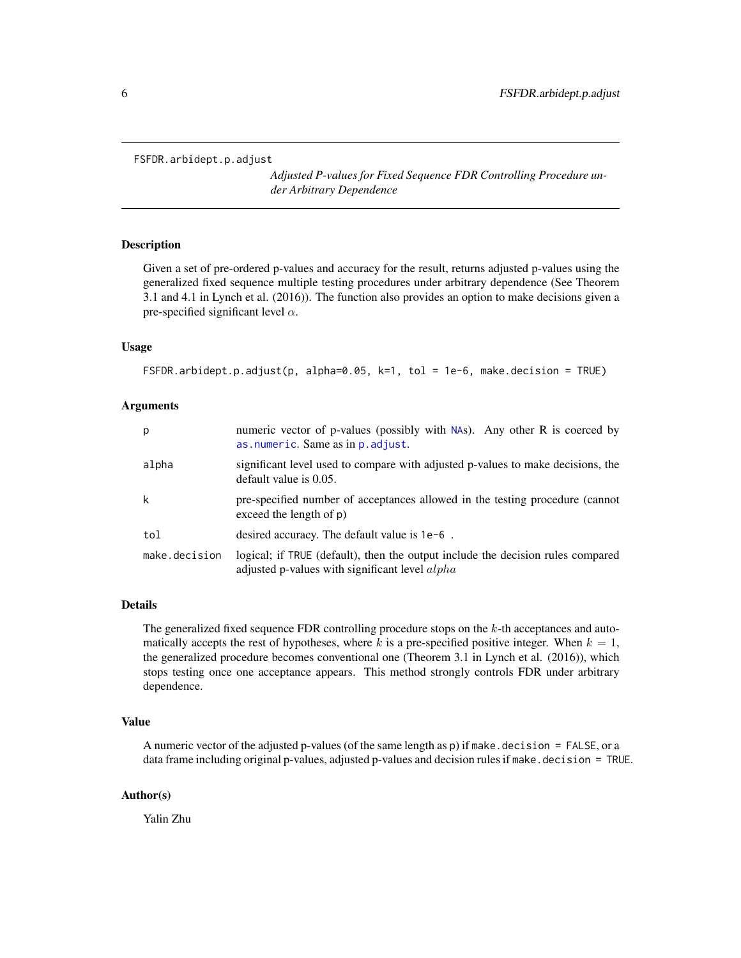<span id="page-5-1"></span><span id="page-5-0"></span>FSFDR.arbidept.p.adjust

*Adjusted P-values for Fixed Sequence FDR Controlling Procedure under Arbitrary Dependence*

#### Description

Given a set of pre-ordered p-values and accuracy for the result, returns adjusted p-values using the generalized fixed sequence multiple testing procedures under arbitrary dependence (See Theorem 3.1 and 4.1 in Lynch et al. (2016)). The function also provides an option to make decisions given a pre-specified significant level  $\alpha$ .

#### Usage

```
FSFDR.arbidept.p.adjust(p, alpha=0.05, k=1, tol = 1e-6, make.decision = TRUE)
```
#### Arguments

| p             | numeric vector of p-values (possibly with $NAS$ ). Any other R is coerced by<br>as.numeric. Same as in p. adjust.                        |
|---------------|------------------------------------------------------------------------------------------------------------------------------------------|
| alpha         | significant level used to compare with adjusted p-values to make decisions, the<br>default value is 0.05.                                |
| k             | pre-specified number of acceptances allowed in the testing procedure (cannot<br>exceed the length of p)                                  |
| tol           | desired accuracy. The default value is 1e-6.                                                                                             |
| make.decision | logical; if TRUE (default), then the output include the decision rules compared<br>adjusted p-values with significant level <i>alpha</i> |

#### Details

The generalized fixed sequence FDR controlling procedure stops on the k-th acceptances and automatically accepts the rest of hypotheses, where k is a pre-specified positive integer. When  $k = 1$ , the generalized procedure becomes conventional one (Theorem 3.1 in Lynch et al. (2016)), which stops testing once one acceptance appears. This method strongly controls FDR under arbitrary dependence.

#### Value

A numeric vector of the adjusted p-values (of the same length as  $p$ ) if make.decision = FALSE, or a data frame including original p-values, adjusted p-values and decision rules if make.decision = TRUE.

#### Author(s)

Yalin Zhu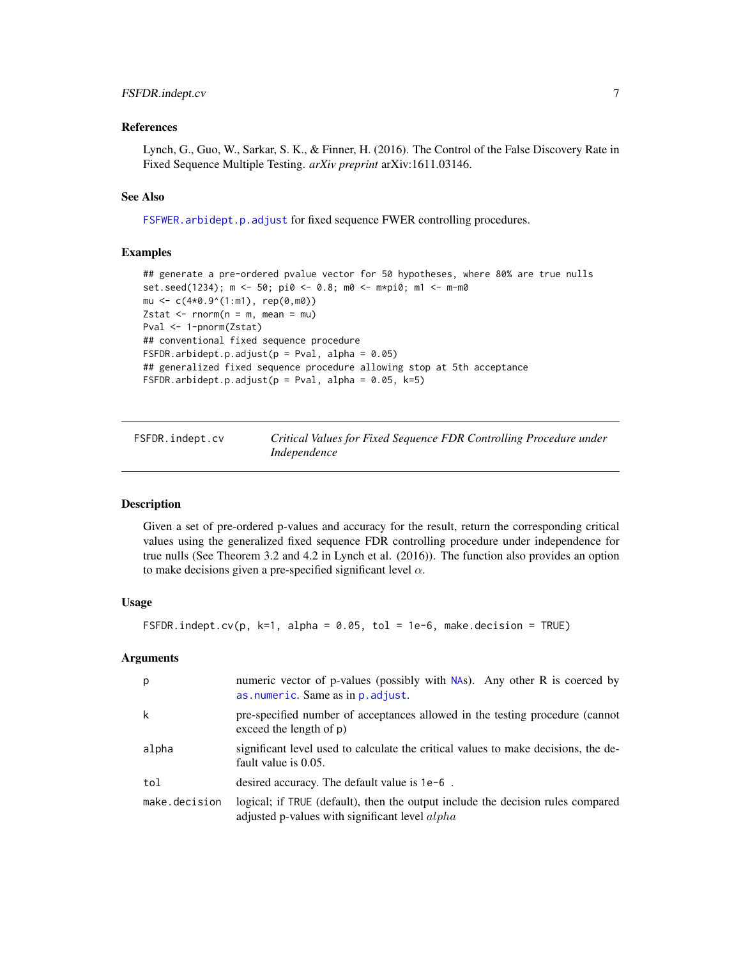### <span id="page-6-0"></span>FSFDR.indept.cv 7

#### References

Lynch, G., Guo, W., Sarkar, S. K., & Finner, H. (2016). The Control of the False Discovery Rate in Fixed Sequence Multiple Testing. *arXiv preprint* arXiv:1611.03146.

#### See Also

[FSFWER.arbidept.p.adjust](#page-10-1) for fixed sequence FWER controlling procedures.

#### Examples

```
## generate a pre-ordered pvalue vector for 50 hypotheses, where 80% are true nulls
set.seed(1234); m <- 50; pi0 <- 0.8; m0 <- m*pi0; m1 <- m-m0
mu \leq -c(4*0.9^{(1:m1)}, rep(0,m0))Zstat \leq rnorm(n = m, mean = mu)
Pval <- 1-pnorm(Zstat)
## conventional fixed sequence procedure
FSFDR.arbidept.p.adjust(p = Pval, alpha = 0.05)
## generalized fixed sequence procedure allowing stop at 5th acceptance
FSFDR.arbidept.p.adjust(p = Pval, alpha = 0.05, k=5)
```
<span id="page-6-1"></span>FSFDR.indept.cv *Critical Values for Fixed Sequence FDR Controlling Procedure under Independence*

#### Description

Given a set of pre-ordered p-values and accuracy for the result, return the corresponding critical values using the generalized fixed sequence FDR controlling procedure under independence for true nulls (See Theorem 3.2 and 4.2 in Lynch et al. (2016)). The function also provides an option to make decisions given a pre-specified significant level  $\alpha$ .

#### Usage

```
FSFDR.indept.cv(p, k=1, alpha = 0.05, tol = 1e-6, make.decision = TRUE)
```
# Arguments

| p             | numeric vector of p-values (possibly with NAs). Any other R is coerced by<br>as numeric. Same as in p. adjust.                           |
|---------------|------------------------------------------------------------------------------------------------------------------------------------------|
| k             | pre-specified number of acceptances allowed in the testing procedure (cannot<br>exceed the length of $p$ )                               |
| alpha         | significant level used to calculate the critical values to make decisions, the de-<br>fault value is 0.05.                               |
| tol           | desired accuracy. The default value is 1e-6.                                                                                             |
| make.decision | logical; if TRUE (default), then the output include the decision rules compared<br>adjusted p-values with significant level <i>alpha</i> |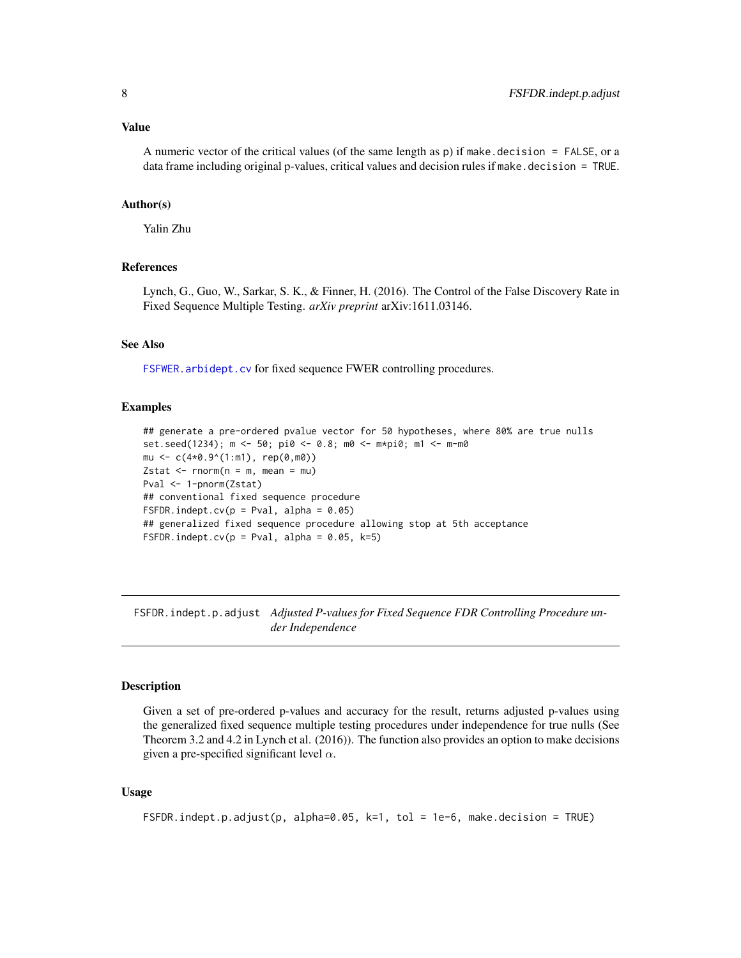#### <span id="page-7-0"></span>Value

A numeric vector of the critical values (of the same length as  $p$ ) if make.decision = FALSE, or a data frame including original p-values, critical values and decision rules if make.decision = TRUE.

#### Author(s)

Yalin Zhu

#### References

Lynch, G., Guo, W., Sarkar, S. K., & Finner, H. (2016). The Control of the False Discovery Rate in Fixed Sequence Multiple Testing. *arXiv preprint* arXiv:1611.03146.

#### See Also

[FSFWER.arbidept.cv](#page-9-1) for fixed sequence FWER controlling procedures.

#### Examples

```
## generate a pre-ordered pvalue vector for 50 hypotheses, where 80% are true nulls
set.seed(1234); m <- 50; pi0 <- 0.8; m0 <- m*pi0; m1 <- m-m0
mu <- c(4*0.9^(1:m1), rep(0,m0))
Zstat \leq rnorm(n = m, mean = mu)
Pval <- 1-pnorm(Zstat)
## conventional fixed sequence procedure
FSFDR.indept.cv(p = Pval, alpha = 0.05)
## generalized fixed sequence procedure allowing stop at 5th acceptance
FSFDR.indept.cv(p = Pval, alpha = 0.05, k=5)
```
<span id="page-7-1"></span>FSFDR.indept.p.adjust *Adjusted P-values for Fixed Sequence FDR Controlling Procedure under Independence*

#### Description

Given a set of pre-ordered p-values and accuracy for the result, returns adjusted p-values using the generalized fixed sequence multiple testing procedures under independence for true nulls (See Theorem 3.2 and 4.2 in Lynch et al. (2016)). The function also provides an option to make decisions given a pre-specified significant level  $\alpha$ .

#### Usage

```
FSFDR.indept.p.adjust(p, alpha=0.05, k=1, tol = 1e-6, make.decision = TRUE)
```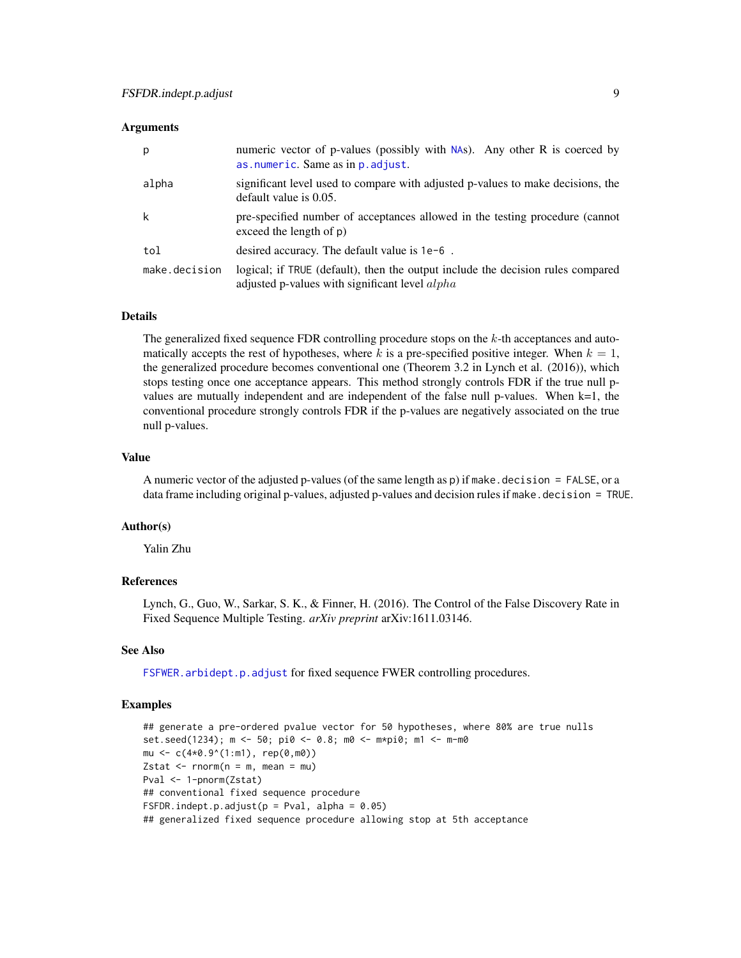<span id="page-8-0"></span>

| р             | numeric vector of p-values (possibly with NAs). Any other R is coerced by<br>as numeric. Same as in p. adjust.                           |
|---------------|------------------------------------------------------------------------------------------------------------------------------------------|
| alpha         | significant level used to compare with adjusted p-values to make decisions, the<br>default value is 0.05.                                |
| k             | pre-specified number of acceptances allowed in the testing procedure (cannot<br>exceed the length of $p$ )                               |
| tol           | desired accuracy. The default value is $1e-6$ .                                                                                          |
| make.decision | logical; if TRUE (default), then the output include the decision rules compared<br>adjusted p-values with significant level <i>alpha</i> |

#### Details

The generalized fixed sequence FDR controlling procedure stops on the  $k$ -th acceptances and automatically accepts the rest of hypotheses, where k is a pre-specified positive integer. When  $k = 1$ , the generalized procedure becomes conventional one (Theorem 3.2 in Lynch et al. (2016)), which stops testing once one acceptance appears. This method strongly controls FDR if the true null pvalues are mutually independent and are independent of the false null p-values. When k=1, the conventional procedure strongly controls FDR if the p-values are negatively associated on the true null p-values.

#### Value

A numeric vector of the adjusted p-values (of the same length as  $p$ ) if make.decision = FALSE, or a data frame including original p-values, adjusted p-values and decision rules if make.decision = TRUE.

#### Author(s)

Yalin Zhu

#### References

Lynch, G., Guo, W., Sarkar, S. K., & Finner, H. (2016). The Control of the False Discovery Rate in Fixed Sequence Multiple Testing. *arXiv preprint* arXiv:1611.03146.

#### See Also

[FSFWER.arbidept.p.adjust](#page-10-1) for fixed sequence FWER controlling procedures.

#### Examples

```
## generate a pre-ordered pvalue vector for 50 hypotheses, where 80% are true nulls
set.seed(1234); m <- 50; pi0 <- 0.8; m0 <- m*pi0; m1 <- m-m0
mu <- c(4*0.9^(1:m1), rep(0,m0))
Zstat \leq rnorm(n = m, mean = mu)
Pval <- 1-pnorm(Zstat)
## conventional fixed sequence procedure
FSFDR.indept.p.adjust(p = Pval, alpha = 0.05)
## generalized fixed sequence procedure allowing stop at 5th acceptance
```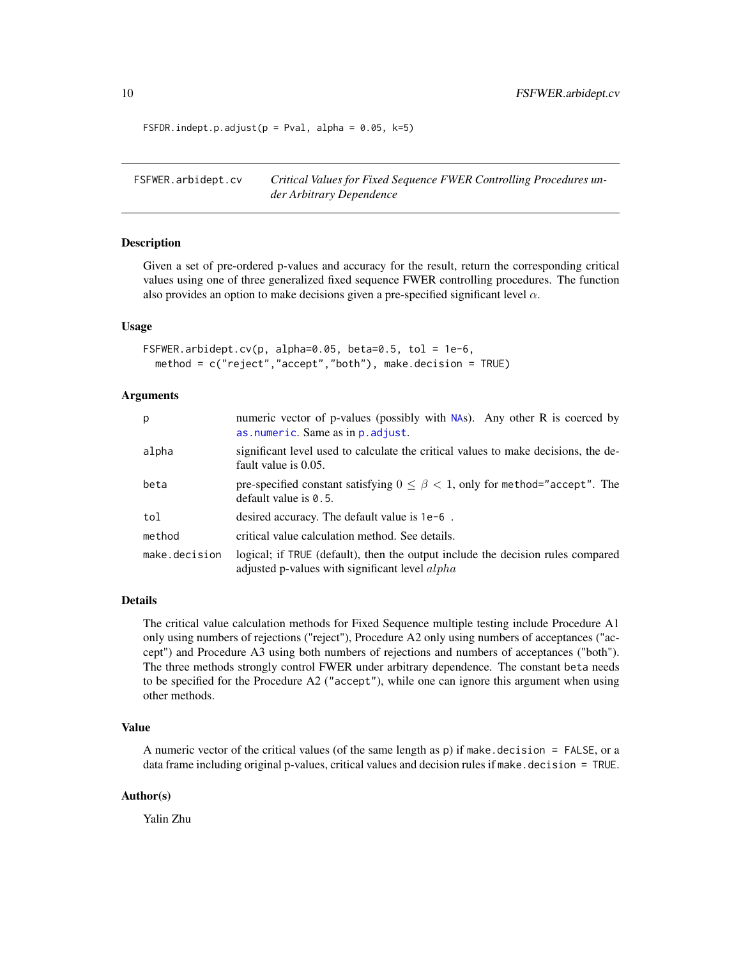FSFDR.indept.p.adjust( $p = Pval$ , alpha = 0.05, k=5)

<span id="page-9-1"></span>FSFWER.arbidept.cv *Critical Values for Fixed Sequence FWER Controlling Procedures under Arbitrary Dependence*

#### Description

Given a set of pre-ordered p-values and accuracy for the result, return the corresponding critical values using one of three generalized fixed sequence FWER controlling procedures. The function also provides an option to make decisions given a pre-specified significant level  $\alpha$ .

#### Usage

```
FSFWER.arbidept.cv(p, alpha=0.05, beta=0.5, tol = 1e-6,
 method = c("reject","accept","both"), make.decision = TRUE)
```
#### Arguments

| р             | numeric vector of p-values (possibly with $NAS$ ). Any other R is coerced by<br>as numeric. Same as in p. adjust.                 |
|---------------|-----------------------------------------------------------------------------------------------------------------------------------|
| alpha         | significant level used to calculate the critical values to make decisions, the de-<br>fault value is 0.05.                        |
| beta          | pre-specified constant satisfying $0 \le \beta < 1$ , only for method="accept". The<br>default value is $0.5$ .                   |
| tol           | desired accuracy. The default value is $1e-6$ .                                                                                   |
| method        | critical value calculation method. See details.                                                                                   |
| make.decision | logical; if TRUE (default), then the output include the decision rules compared<br>adjusted p-values with significant level alpha |

#### Details

The critical value calculation methods for Fixed Sequence multiple testing include Procedure A1 only using numbers of rejections ("reject"), Procedure A2 only using numbers of acceptances ("accept") and Procedure A3 using both numbers of rejections and numbers of acceptances ("both"). The three methods strongly control FWER under arbitrary dependence. The constant beta needs to be specified for the Procedure A2 ("accept"), while one can ignore this argument when using other methods.

#### Value

A numeric vector of the critical values (of the same length as p) if make. decision  $=$  FALSE, or a data frame including original p-values, critical values and decision rules if make.decision = TRUE.

#### Author(s)

Yalin Zhu

<span id="page-9-0"></span>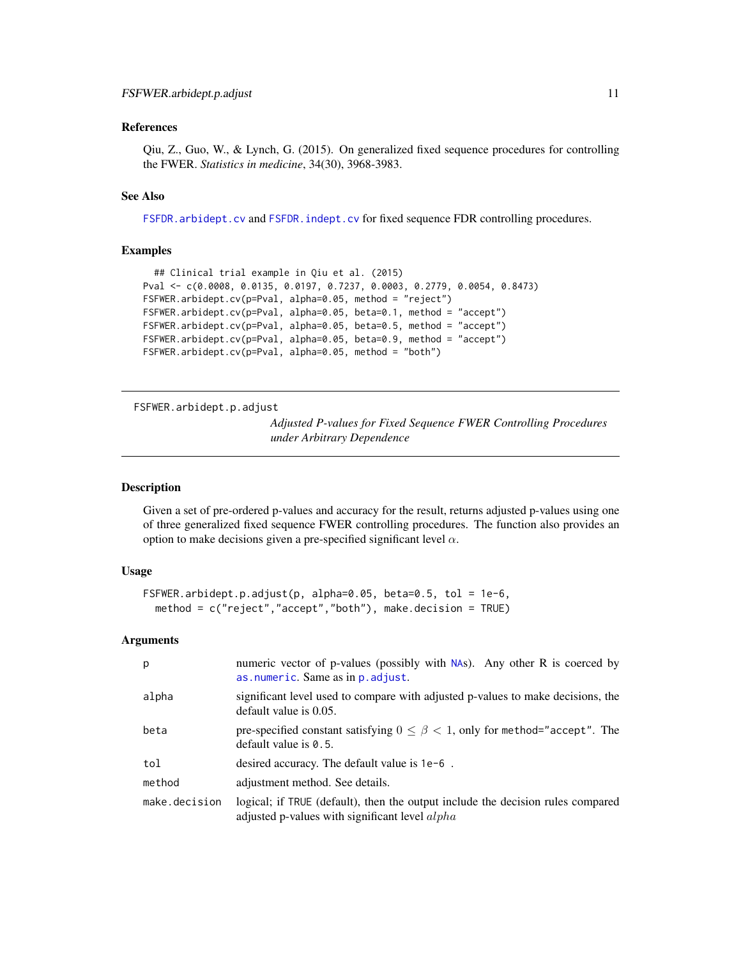#### <span id="page-10-0"></span>References

Qiu, Z., Guo, W., & Lynch, G. (2015). On generalized fixed sequence procedures for controlling the FWER. *Statistics in medicine*, 34(30), 3968-3983.

# See Also

[FSFDR.arbidept.cv](#page-3-1) and [FSFDR.indept.cv](#page-6-1) for fixed sequence FDR controlling procedures.

#### Examples

```
## Clinical trial example in Qiu et al. (2015)
Pval <- c(0.0008, 0.0135, 0.0197, 0.7237, 0.0003, 0.2779, 0.0054, 0.8473)
FSFWER.arbidept.cv(p=Pval, alpha=0.05, method = "reject")
FSFWER.arbidept.cv(p=Pval, alpha=0.05, beta=0.1, method = "accept")
FSFWER.arbidept.cv(p=Pval, alpha=0.05, beta=0.5, method = "accept")
FSFWER.arbidept.cv(p=Pval, alpha=0.05, beta=0.9, method = "accept")
FSFWER.arbidept.cv(p=Pval, alpha=0.05, method = "both")
```
<span id="page-10-1"></span>FSFWER.arbidept.p.adjust

*Adjusted P-values for Fixed Sequence FWER Controlling Procedures under Arbitrary Dependence*

#### Description

Given a set of pre-ordered p-values and accuracy for the result, returns adjusted p-values using one of three generalized fixed sequence FWER controlling procedures. The function also provides an option to make decisions given a pre-specified significant level  $\alpha$ .

#### Usage

```
FSFWER.arbidept.p.adjust(p, alpha=0.05, beta=0.5, tol = 1e-6,
  method = c("reject","accept","both"), make.decision = TRUE)
```
#### Arguments

| p             | numeric vector of p-values (possibly with NAs). Any other R is coerced by<br>as numeric. Same as in p. adjust.                      |
|---------------|-------------------------------------------------------------------------------------------------------------------------------------|
| alpha         | significant level used to compare with adjusted p-values to make decisions, the<br>default value is 0.05.                           |
| beta          | pre-specified constant satisfying $0 \le \beta < 1$ , only for method="accept". The<br>default value is $0.5$ .                     |
| tol           | desired accuracy. The default value is $1e-6$ .                                                                                     |
| method        | adjustment method. See details.                                                                                                     |
| make.decision | logical; if TRUE (default), then the output include the decision rules compared<br>adjusted p-values with significant level $alpha$ |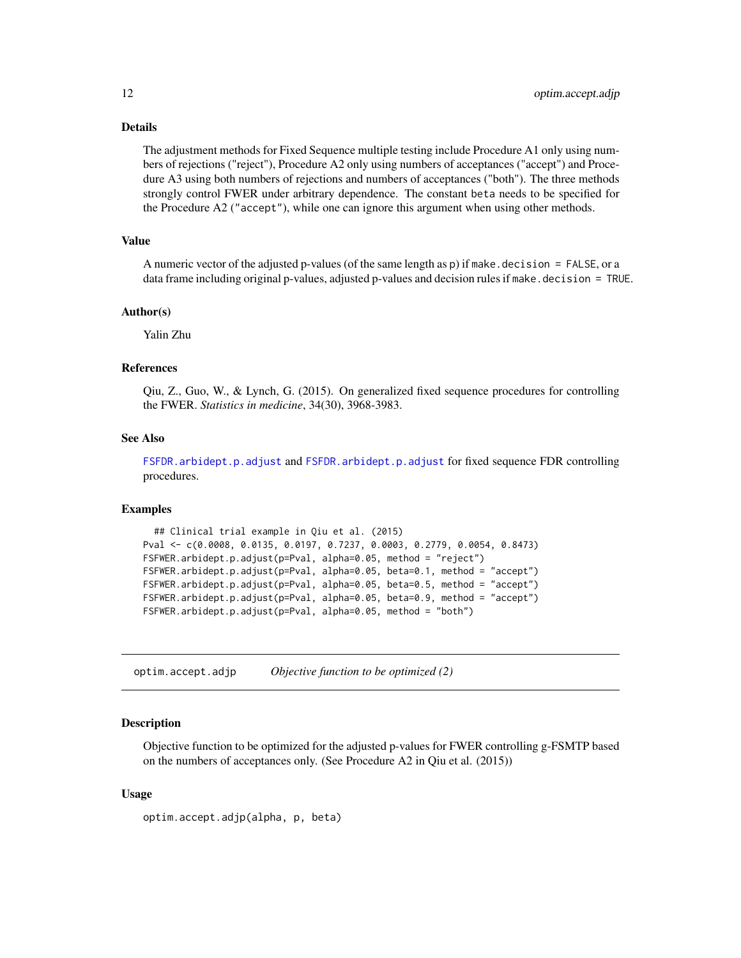# <span id="page-11-0"></span>Details

The adjustment methods for Fixed Sequence multiple testing include Procedure A1 only using numbers of rejections ("reject"), Procedure A2 only using numbers of acceptances ("accept") and Procedure A3 using both numbers of rejections and numbers of acceptances ("both"). The three methods strongly control FWER under arbitrary dependence. The constant beta needs to be specified for the Procedure A2 ("accept"), while one can ignore this argument when using other methods.

# Value

A numeric vector of the adjusted p-values (of the same length as  $p$ ) if make.decision = FALSE, or a data frame including original p-values, adjusted p-values and decision rules if make.decision = TRUE.

#### Author(s)

Yalin Zhu

# References

Qiu, Z., Guo, W., & Lynch, G. (2015). On generalized fixed sequence procedures for controlling the FWER. *Statistics in medicine*, 34(30), 3968-3983.

#### See Also

[FSFDR.arbidept.p.adjust](#page-5-1) and [FSFDR.arbidept.p.adjust](#page-5-1) for fixed sequence FDR controlling procedures.

#### Examples

```
## Clinical trial example in Qiu et al. (2015)
Pval <- c(0.0008, 0.0135, 0.0197, 0.7237, 0.0003, 0.2779, 0.0054, 0.8473)
FSFWER.arbidept.p.adjust(p=Pval, alpha=0.05, method = "reject")
FSFWER.arbidept.p.adjust(p=Pval, alpha=0.05, beta=0.1, method = "accept")
FSFWER.arbidept.p.adjust(p=Pval, alpha=0.05, beta=0.5, method = "accept")
FSFWER.arbidept.p.adjust(p=Pval, alpha=0.05, beta=0.9, method = "accept")
FSFWER.arbidept.p.adjust(p=Pval, alpha=0.05, method = "both")
```
optim.accept.adjp *Objective function to be optimized (2)*

#### Description

Objective function to be optimized for the adjusted p-values for FWER controlling g-FSMTP based on the numbers of acceptances only. (See Procedure A2 in Qiu et al. (2015))

#### Usage

optim.accept.adjp(alpha, p, beta)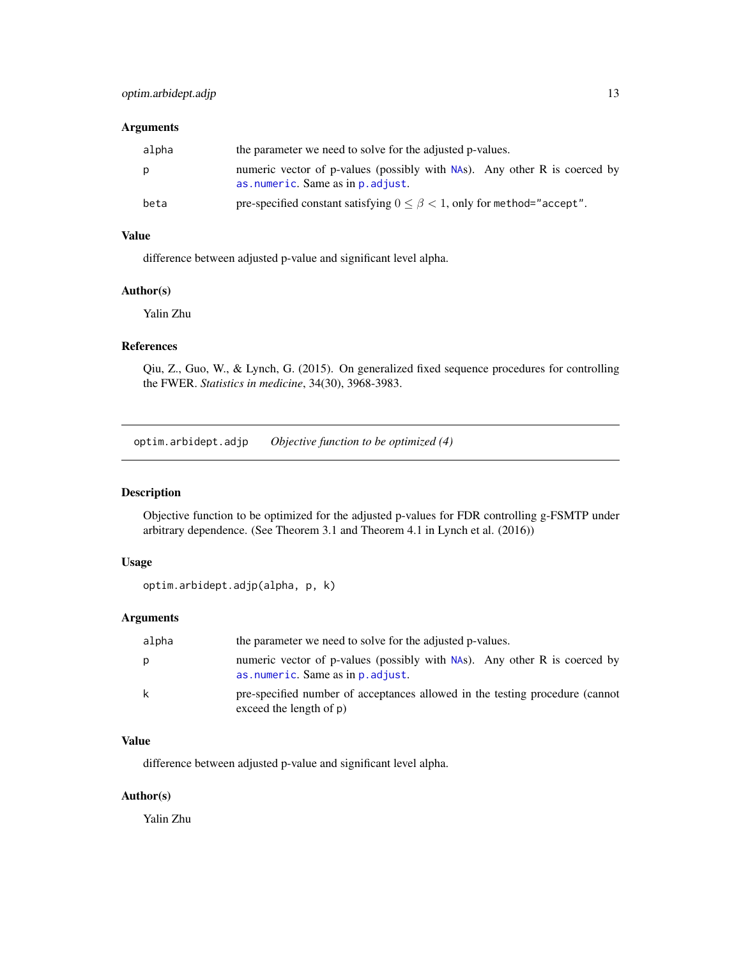<span id="page-12-0"></span>

| alpha | the parameter we need to solve for the adjusted p-values.                                                      |
|-------|----------------------------------------------------------------------------------------------------------------|
| p     | numeric vector of p-values (possibly with NAs). Any other R is coerced by<br>as numeric. Same as in p. adjust. |
| beta  | pre-specified constant satisfying $0 \le \beta < 1$ , only for method="accept".                                |

# Value

difference between adjusted p-value and significant level alpha.

#### Author(s)

Yalin Zhu

# References

Qiu, Z., Guo, W., & Lynch, G. (2015). On generalized fixed sequence procedures for controlling the FWER. *Statistics in medicine*, 34(30), 3968-3983.

optim.arbidept.adjp *Objective function to be optimized (4)*

# Description

Objective function to be optimized for the adjusted p-values for FDR controlling g-FSMTP under arbitrary dependence. (See Theorem 3.1 and Theorem 4.1 in Lynch et al. (2016))

### Usage

```
optim.arbidept.adjp(alpha, p, k)
```
# Arguments

| alpha | the parameter we need to solve for the adjusted p-values.                                                      |
|-------|----------------------------------------------------------------------------------------------------------------|
| р     | numeric vector of p-values (possibly with NAs). Any other R is coerced by<br>as numeric. Same as in p. adjust. |
| k     | pre-specified number of acceptances allowed in the testing procedure (cannot<br>exceed the length of $p$ )     |

### Value

difference between adjusted p-value and significant level alpha.

# Author(s)

Yalin Zhu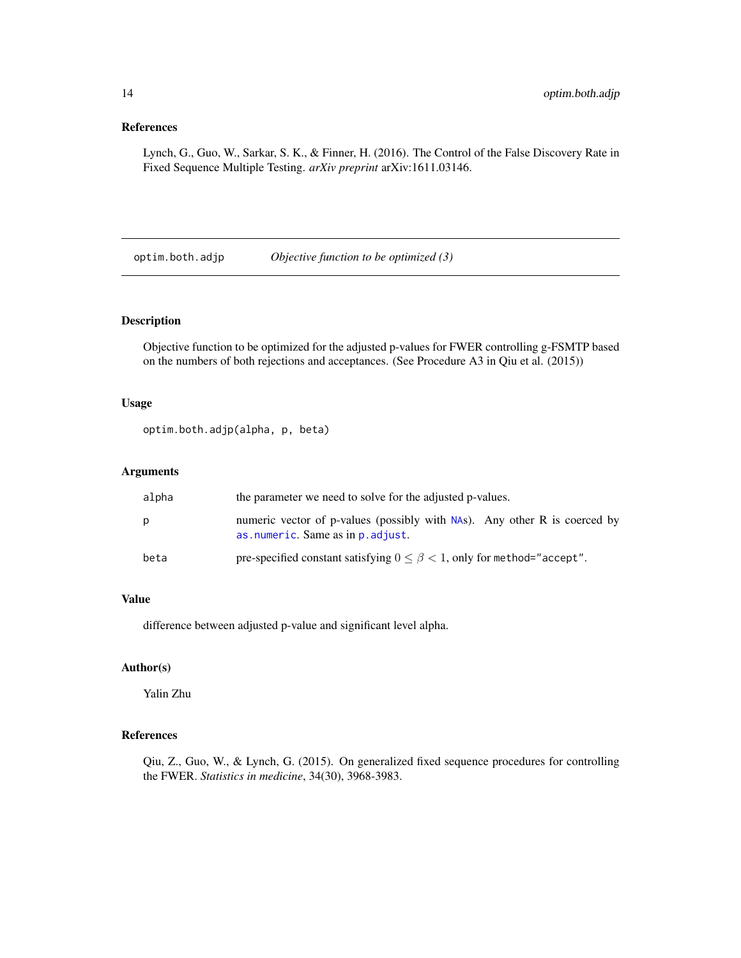# <span id="page-13-0"></span>References

Lynch, G., Guo, W., Sarkar, S. K., & Finner, H. (2016). The Control of the False Discovery Rate in Fixed Sequence Multiple Testing. *arXiv preprint* arXiv:1611.03146.

optim.both.adjp *Objective function to be optimized (3)*

#### Description

Objective function to be optimized for the adjusted p-values for FWER controlling g-FSMTP based on the numbers of both rejections and acceptances. (See Procedure A3 in Qiu et al. (2015))

#### Usage

optim.both.adjp(alpha, p, beta)

# Arguments

| alpha | the parameter we need to solve for the adjusted p-values.                                                      |
|-------|----------------------------------------------------------------------------------------------------------------|
| Ŋ     | numeric vector of p-values (possibly with NAs). Any other R is coerced by<br>as numeric. Same as in p. adjust. |
| beta  | pre-specified constant satisfying $0 \le \beta < 1$ , only for method="accept".                                |

# Value

difference between adjusted p-value and significant level alpha.

### Author(s)

Yalin Zhu

# References

Qiu, Z., Guo, W., & Lynch, G. (2015). On generalized fixed sequence procedures for controlling the FWER. *Statistics in medicine*, 34(30), 3968-3983.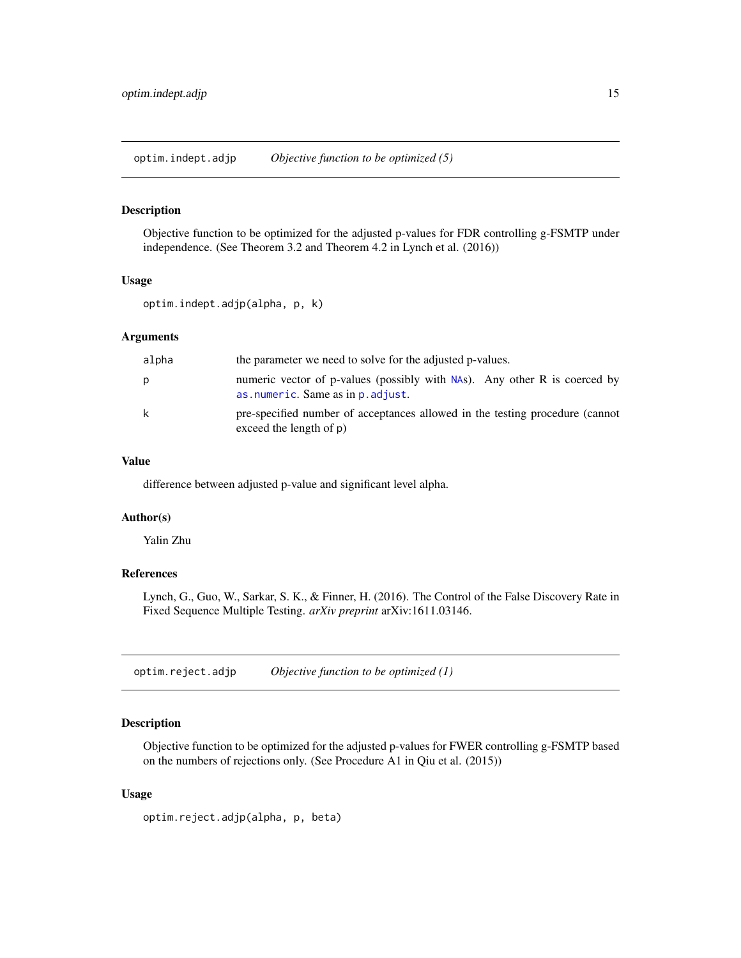<span id="page-14-0"></span>optim.indept.adjp *Objective function to be optimized (5)*

#### Description

Objective function to be optimized for the adjusted p-values for FDR controlling g-FSMTP under independence. (See Theorem 3.2 and Theorem 4.2 in Lynch et al. (2016))

#### Usage

optim.indept.adjp(alpha, p, k)

#### Arguments

| alpha | the parameter we need to solve for the adjusted p-values.                                                      |
|-------|----------------------------------------------------------------------------------------------------------------|
| p     | numeric vector of p-values (possibly with NAs). Any other R is coerced by<br>as numeric. Same as in p. adjust. |
| k     | pre-specified number of acceptances allowed in the testing procedure (cannot<br>exceed the length of $p$ )     |

# Value

difference between adjusted p-value and significant level alpha.

#### Author(s)

Yalin Zhu

#### References

Lynch, G., Guo, W., Sarkar, S. K., & Finner, H. (2016). The Control of the False Discovery Rate in Fixed Sequence Multiple Testing. *arXiv preprint* arXiv:1611.03146.

optim.reject.adjp *Objective function to be optimized (1)*

#### Description

Objective function to be optimized for the adjusted p-values for FWER controlling g-FSMTP based on the numbers of rejections only. (See Procedure A1 in Qiu et al. (2015))

#### Usage

optim.reject.adjp(alpha, p, beta)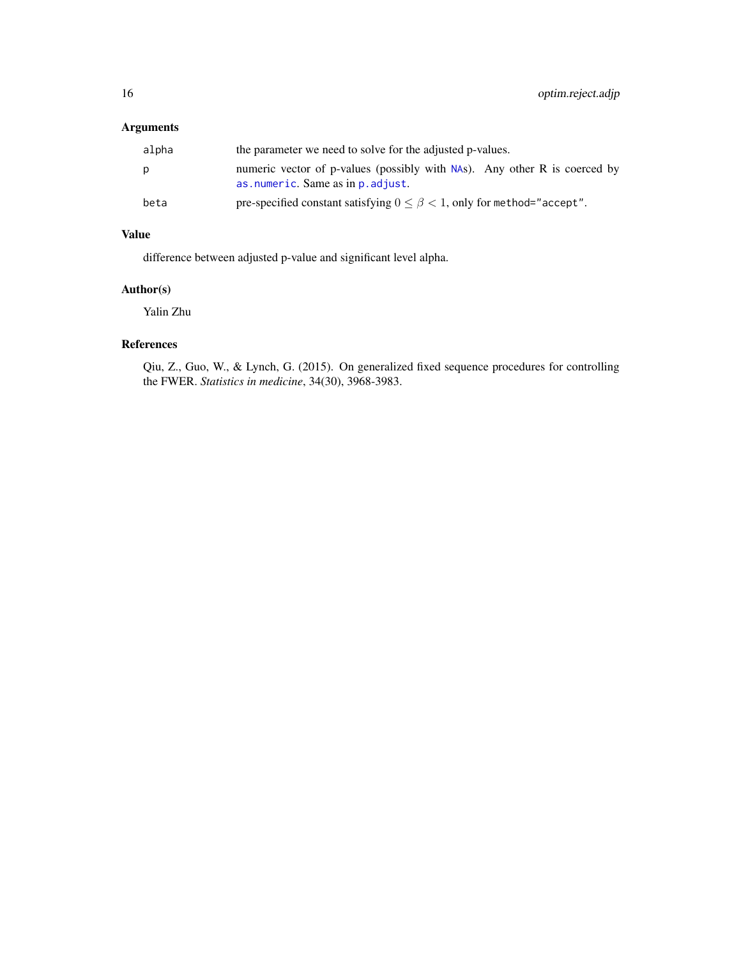<span id="page-15-0"></span>

| alpha | the parameter we need to solve for the adjusted p-values.                                                      |
|-------|----------------------------------------------------------------------------------------------------------------|
| р     | numeric vector of p-values (possibly with NAs). Any other R is coerced by<br>as numeric. Same as in p. adjust. |
| beta  | pre-specified constant satisfying $0 \le \beta < 1$ , only for method="accept".                                |

# Value

difference between adjusted p-value and significant level alpha.

# Author(s)

Yalin Zhu

# References

Qiu, Z., Guo, W., & Lynch, G. (2015). On generalized fixed sequence procedures for controlling the FWER. *Statistics in medicine*, 34(30), 3968-3983.